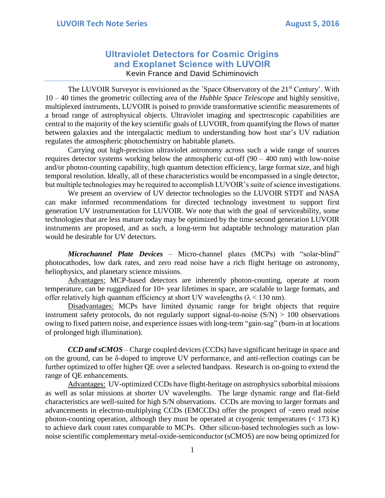## **Ultraviolet Detectors for Cosmic Origins and Exoplanet Science with LUVOIR** Kevin France and David Schiminovich

The LUVOIR Surveyor is envisioned as the `Space Observatory of the 21<sup>st</sup> Century'. With 10 – 40 times the geometric collecting area of the *Hubble Space Telescope* and highly sensitive, multiplexed instruments, LUVOIR is poised to provide transformative scientific measurements of a broad range of astrophysical objects. Ultraviolet imaging and spectroscopic capabilities are central to the majority of the key scientific goals of LUVOIR, from quantifying the flows of matter between galaxies and the intergalactic medium to understanding how host star's UV radiation regulates the atmospheric photochemistry on habitable planets.

Carrying out high-precision ultraviolet astronomy across such a wide range of sources requires detector systems working below the atmospheric cut-off  $(90 - 400 \text{ nm})$  with low-noise and/or photon-counting capability, high quantum detection efficiency, large format size, and high temporal resolution. Ideally, all of these characteristics would be encompassed in a single detector, but multiple technologies may be required to accomplish LUVOIR's suite of science investigations.

We present an overview of UV detector technologies so the LUVOIR STDT and NASA can make informed recommendations for directed technology investment to support first generation UV instrumentation for LUVOIR. We note that with the goal of serviceability, some technologies that are less mature today may be optimized by the time second generation LUVOIR instruments are proposed, and as such, a long-term but adaptable technology maturation plan would be desirable for UV detectors.

*Microchannel Plate Devices* – Micro-channel plates (MCPs) with "solar-blind" photocathodes, low dark rates, and zero read noise have a rich flight heritage on astronomy, heliophysics, and planetary science missions.

Advantages: MCP-based detectors are inherently photon-counting, operate at room temperature, can be ruggedized for 10+ year lifetimes in space, are scalable to large formats, and offer relatively high quantum efficiency at short UV wavelengths  $(\lambda < 130 \text{ nm})$ .

Disadvantages: MCPs have limited dynamic range for bright objects that require instrument safety protocols, do not regularly support signal-to-noise  $(S/N) > 100$  observations owing to fixed pattern noise, and experience issues with long-term "gain-sag" (burn-in at locations of prolonged high illumination).

*CCD and sCMOS* – Charge coupled devices (CCDs) have significant heritage in space and on the ground, can be δ-doped to improve UV performance, and anti-reflection coatings can be further optimized to offer higher QE over a selected bandpass. Research is on-going to extend the range of QE enhancements.

Advantages: UV-optimized CCDs have flight-heritage on astrophysics suborbital missions as well as solar missions at shorter UV wavelengths. The large dynamic range and flat-field characteristics are well-suited for high S/N observations. CCDs are moving to larger formats and advancements in electron-multiplying CCDs (EMCCDs) offer the prospect of ~zero read noise photon-counting operation, although they must be operated at cryogenic temperatures  $(< 173 \text{ K})$ to achieve dark count rates comparable to MCPs. Other silicon-based technologies such as lownoise scientific complementary metal-oxide-semiconductor (sCMOS) are now being optimized for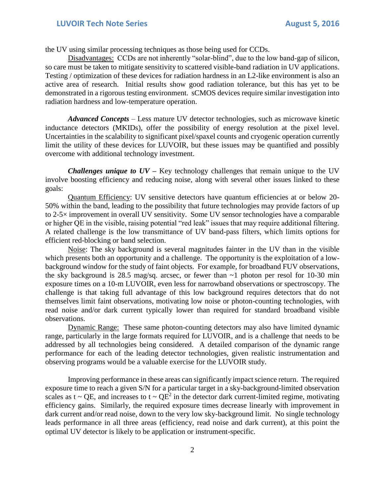the UV using similar processing techniques as those being used for CCDs.

Disadvantages: CCDs are not inherently "solar-blind", due to the low band-gap of silicon, so care must be taken to mitigate sensitivity to scattered visible-band radiation in UV applications. Testing / optimization of these devices for radiation hardness in an L2-like environment is also an active area of research. Initial results show good radiation tolerance, but this has yet to be demonstrated in a rigorous testing environment. sCMOS devices require similar investigation into radiation hardness and low-temperature operation.

*Advanced Concepts* – Less mature UV detector technologies, such as microwave kinetic inductance detectors (MKIDs), offer the possibility of energy resolution at the pixel level. Uncertainties in the scalability to significant pixel/spaxel counts and cryogenic operation currently limit the utility of these devices for LUVOIR, but these issues may be quantified and possibly overcome with additional technology investment.

*Challenges unique to UV –* Key technology challenges that remain unique to the UV involve boosting efficiency and reducing noise, along with several other issues linked to these goals:

Quantum Efficiency: UV sensitive detectors have quantum efficiencies at or below 20- 50% within the band, leading to the possibility that future technologies may provide factors of up to 2-5× improvement in overall UV sensitivity. Some UV sensor technologies have a comparable or higher QE in the visible, raising potential "red leak" issues that may require additional filtering. A related challenge is the low transmittance of UV band-pass filters, which limits options for efficient red-blocking or band selection.

Noise: The sky background is several magnitudes fainter in the UV than in the visible which presents both an opportunity and a challenge. The opportunity is the exploitation of a lowbackground window for the study of faint objects. For example, for broadband FUV observations, the sky background is 28.5 mag/sq. arcsec, or fewer than  $\sim$ 1 photon per resol for 10-30 min exposure times on a 10-m LUVOIR, even less for narrowband observations or spectroscopy. The challenge is that taking full advantage of this low background requires detectors that do not themselves limit faint observations, motivating low noise or photon-counting technologies, with read noise and/or dark current typically lower than required for standard broadband visible observations.

Dynamic Range: These same photon-counting detectors may also have limited dynamic range, particularly in the large formats required for LUVOIR, and is a challenge that needs to be addressed by all technologies being considered. A detailed comparison of the dynamic range performance for each of the leading detector technologies, given realistic instrumentation and observing programs would be a valuable exercise for the LUVOIR study.

Improving performance in these areas can significantly impact science return. The required exposure time to reach a given S/N for a particular target in a sky-background-limited observation scales as t ~ QE, and increases to t ~  $QE^2$  in the detector dark current-limited regime, motivating efficiency gains. Similarly, the required exposure times decrease linearly with improvement in dark current and/or read noise, down to the very low sky-background limit. No single technology leads performance in all three areas (efficiency, read noise and dark current), at this point the optimal UV detector is likely to be application or instrument-specific.